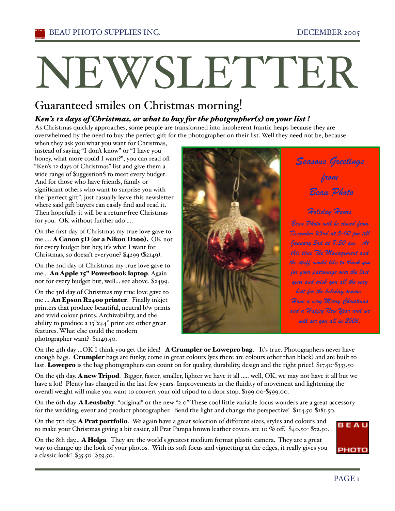# Guaranteed smiles on Christmas morning!

# *Ken's 12 days of Christmas, or what to buy for the photgrapher(s) on your list !*

As Christmas quickly approaches, some people are transformed into incoherent frantic heaps because they are overwhelmed by the need to buy the perfect gift for the photographer on their list. Well they need not be, because

when they ask you what you want for Christmas, instead of saying "I don't know" or "I have you honey, what more could I want?", you can read off "Ken's 12 days of Christmas" list and give them a wide range of \$uggestion\$ to meet every budget. And for those who have friends, family or significant others who want to surprise you with the "perfect gift", just casually leave this newsletter where said gift buyers can easily find and read it. Then hopefully it will be a return-free Christmas for you. OK without further ado ....

On the first day of Christmas my true love gave to me..... **A Canon 5D (or a Nikon D200).** OK not for every budget but hey, iťs what I want for Christmas, so doesn't everyone? \$4299 (\$2149).

On the 2nd day of Christmas my true love gave to me... An Apple 15" Powerbook laptop. Again not for every budget but, well... see above. \$2499.

On the 3rd day of Christmas my true love gave to me ... An Epson R2400 printer. Finally inkjet printers that produce beautiful, neutral b/w prints and vivid colour prints. Archivability, and the ability to produce a 13"x44" print are other great features. What else could the modern photographer want? \$1149.50.

*from Beau Photo Holiday Hours Beau Photo will be closed from December 23rd at 5:00 pm till January 3rd at 8:30 am. At this time The Management and the staff would like to thank you for your patronage over the last year and wish you all the very best for the holiday season. Have a very Merry Christmas and a Happy New Year and we will see you all in 2006.*

On the 4th day ...OK I think you get the idea! A Crumpler or Lowepro bag. It's true. Photographers never have enough bags. Crumpler bags are funky, come in great colours (yes there are colours other than black) and are built to last. Lowepro is the bag photographers can count on for quality, durability, design and the right price!. \$17.50-\$333.50

On the 5th day. A new Tripod. Bigger, faster, smaller, lighter we have it all ..... well, OK, we may not have it all but we have a lot! Plenty has changed in the last few years. Improvements in the fluidity of movement and lightening the overall weight will make you want to convert your old tripod to a door stop. \$199.00-\$599.00.

On the 6th day. **A Lensbaby**. "original" or the new "2.0" These cool little variable focus wonders are a great accessory for the wedding, event and product photographer. Bend the light and change the perspective! \$114.50-\$181.50.

On the 7th day. **A Prat portfolio**. We again have a great selection of different sizes, styles and colours and to make your Christmas giving a bit easier, all Prat Pampa brown leather covers are 10 % off. \$40.50- \$72.50.

On the 8th day... A Holga. They are the world's greatest medium format plastic camera. They are a great way to change up the look of your photos. With its soft focus and vignetting at the edges, it really gives you a classic look! \$35.50- \$59.50.



*Seasons Greetings*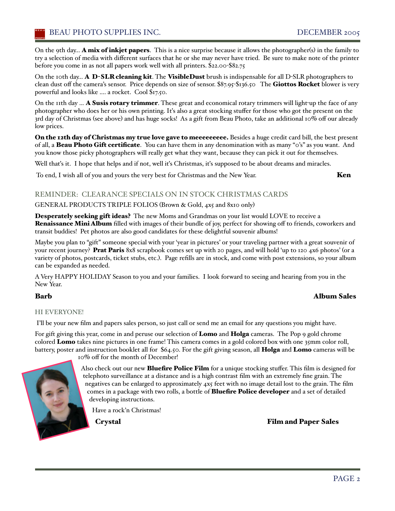On the 9th day... **A mix of inkjet papers**. This is a nice surprise because it allows the photographer(s) in the family to try a selection of media with different surfaces that he or she may never have tried. Be sure to make note of the printer before you come in as not all papers work well with all printers. \$22.00-\$82.75

On the 10th day... A D-SLR cleaning kit. The VisibleDust brush is indispensable for all D-SLR photographers to clean dust off the camera's sensor. Price depends on size of sensor. \$87.95-\$136.50 The Giottos Rocket blower is very powerful and looks like .... a rocket. Cool \$17.50.

On the 11th day ... A Susis rotary trimmer. These great and economical rotary trimmers will light-up the face of any photographer who does her or his own printing. Iťs also a great stocking stuffer for those who got the present on the 3rd day of Christmas (see above) and has huge socks! As a gift from Beau Photo, take an additional 10% off our already low prices.

On the 12th day of Christmas my true love gave to meeeeeeeee. Besides a huge credit card bill, the best present of all, a Beau Photo Gift certificate. You can have them in any denomination with as many "0's" as you want. And you know those picky photographers will really get what they want, because they can pick it out for themselves.

Well that's it. I hope that helps and if not, well it's Christmas, it's supposed to be about dreams and miracles.

To end, I wish all of you and yours the very best for Christmas and the New Year. Ken

### REMINDER: CLEARANCE SPECIALS ON IN STOCK CHRISTMAS CARDS

### GENERAL PRODUCTS TRIPLE FOLIOS (Brown & Gold, 4x5 and 8x10 only)

Desperately seeking gift ideas? The new Moms and Grandmas on your list would LOVE to receive a Renaissance Mini Album filled with images of their bundle of joy, perfect for showing off to friends, coworkers and transit buddies! Pet photos are also good candidates for these delightful souvenir albums!

Maybe you plan to "gift" someone special with your 'year in pictures' or your traveling partner with a great souvenir of your recent journey? Prat Paris 8x8 scrapbook comes set up with 20 pages, and will hold 'up to 120 4x6 photos' (or a variety of photos, postcards, ticket stubs, etc.). Page refills are in stock, and come with post extensions, so your album can be expanded as needed.

AVery HAPPY HOLIDAY Season to you and your families. I look forward to seeing and hearing from you in the New Year.

# Barb Album Sales

### HI EVERYONE!

I'll be your new film and papers sales person, so just call or send me an email for any questions you might have.

For gift giving this year, come in and peruse our selection of **Lomo** and **Holga** cameras. The Pop 9 gold chrome colored Lomo takes nine pictures in one frame! This camera comes in a gold colored box with one 35mm color roll, battery, poster and instruction booklet all for \$64.50. For the gift giving season, all Holga and Lomo cameras will be

10% off for the month of December!

Also check out our new Bluefire Police Film for a unique stocking stuffer. This film is designed for telephoto surveillance at a distance and is a high contrast film with an extremely fine grain. The negatives can be enlarged to approximately 4x5 feet with no image detail lost to the grain. The film comes in a package with two rolls, a bottle of **Bluefire Police developer** and a set of detailed developing instructions.

Have a rock'n Christmas!

Crystal Film and Paper Sales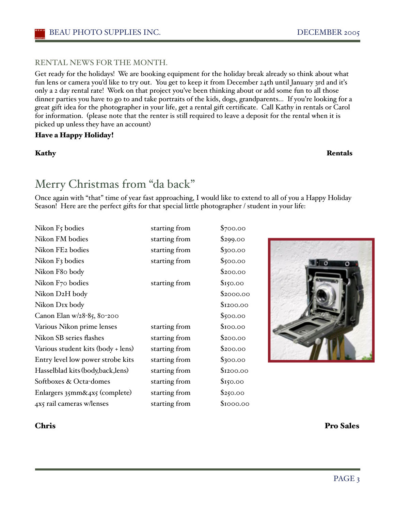## RENTAL NEWS FOR THE MONTH.

Get ready for the holidays! We are booking equipment for the holiday break already so think about what fun lens or camera you'd like to try out. You get to keep it from December 24th until January 3rd and iťs only a 2 day rental rate! Work on that project you've been thinking about or add some fun to all those dinner parties you have to go to and take portraits of the kids, dogs, grandparents... If you're looking for a great gift idea for the photographer in your life, get a rental gift certificate. Call Kathy in rentals or Carol for information. (please note that the renter is still required to leave a deposit for the rental when it is picked up unless they have an account)

## Have a Happy Holiday!

### Kathy Rentals

# Merry Christmas from "da back"

Once again with "that" time of year fast approaching, I would like to extend to all of you a Happy Holiday Season! Here are the perfect gifts for that special little photographer / student in your life:

| Nikon F5 bodies                    | starting from | \$700.00  |
|------------------------------------|---------------|-----------|
| Nikon FM bodies                    | starting from | \$299.00  |
| Nikon FE2 bodies                   | starting from | \$300.00  |
| Nikon F3 bodies                    | starting from | \$500.00  |
| Nikon F80 body                     |               | \$200.00  |
| Nikon F70 bodies                   | starting from | \$150.00  |
| Nikon D2H body                     |               | \$2000.00 |
| Nikon DIx body                     |               | \$1200.00 |
| Canon Elan w/28-85, 80-200         |               | \$500.00  |
| Various Nikon prime lenses         | starting from | \$100.00  |
| Nikon SB series flashes            | starting from | \$200.00  |
| Various student kits (body + lens) | starting from | \$200.00  |
| Entry level low power strobe kits  | starting from | \$300.00  |
| Hasselblad kits (body, back, lens) | starting from | \$1200.00 |
| Softboxes & Octa-domes             | starting from | \$150.00  |
| Enlargers 35mm&4x5 (complete)      | starting from | \$250.00  |
| 4x5 rail cameras w/lenses          | starting from | \$1000.00 |
|                                    |               |           |

Chris Pro Sales